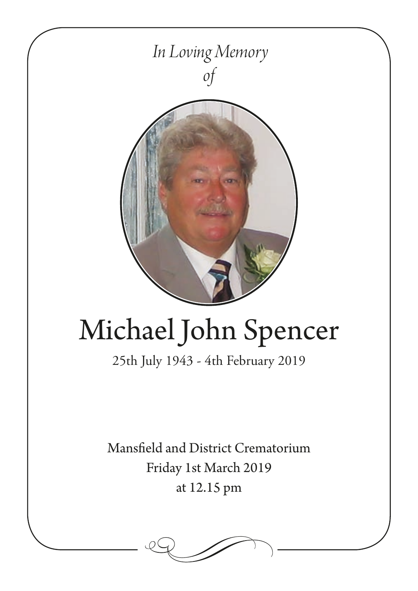

# Michael John Spencer

25th July 1943 - 4th February 2019

Mansfield and District Crematorium Friday 1st March 2019 at 12.15 pm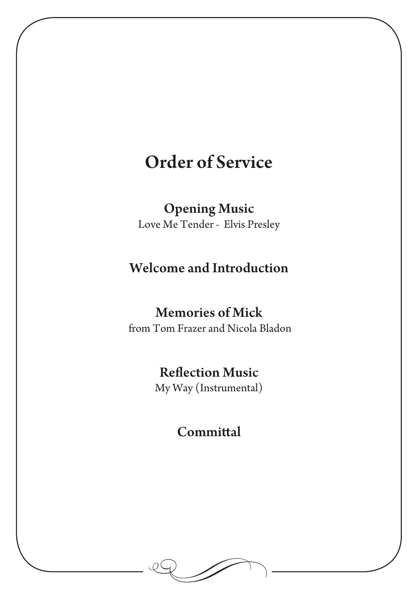## Order of Service

#### Opening Music

Love Me Tender - Elvis Presley

## Welcome and Introduction

## Memories of Mick

from Tom Frazer and Nicola Bladon

## Reflection Music

My Way (Instrumental)

## **Committal**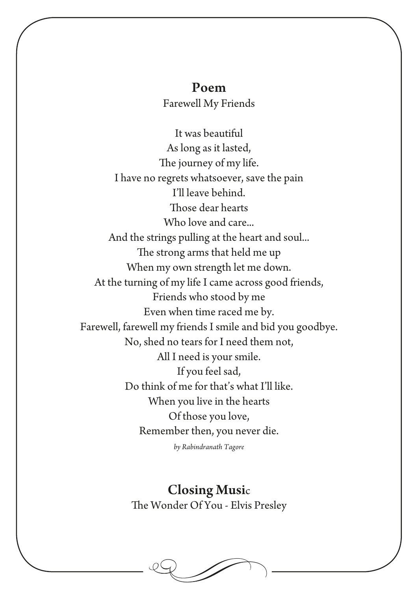#### Poem

Farewell My Friends

It was beautiful As long as it lasted, The journey of my life. I have no regrets whatsoever, save the pain I'll leave behind. Those dear hearts Who love and care... And the strings pulling at the heart and soul... The strong arms that held me up When my own strength let me down. At the turning of my life I came across good friends, Friends who stood by me Even when time raced me by. Farewell, farewell my friends I smile and bid you goodbye. No, shed no tears for I need them not, All I need is your smile. If you feel sad, Do think of me for that's what I'll like. When you live in the hearts Of those you love, Remember then, you never die.

*by Rabindranath Tagore*

Closing Music The Wonder Of You - Elvis Presley